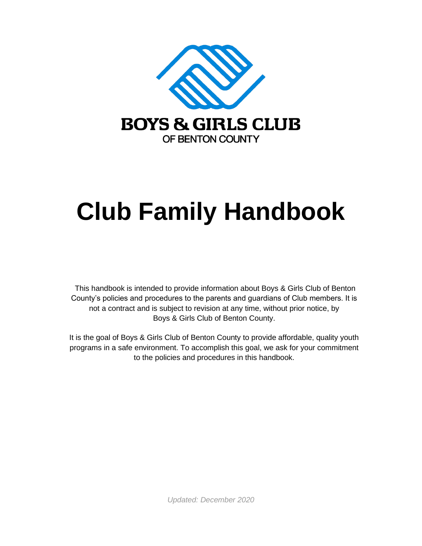

# **Club Family Handbook**

This handbook is intended to provide information about Boys & Girls Club of Benton County's policies and procedures to the parents and guardians of Club members. It is not a contract and is subject to revision at any time, without prior notice, by Boys & Girls Club of Benton County.

It is the goal of Boys & Girls Club of Benton County to provide affordable, quality youth programs in a safe environment. To accomplish this goal, we ask for your commitment to the policies and procedures in this handbook.

*Updated: December 2020*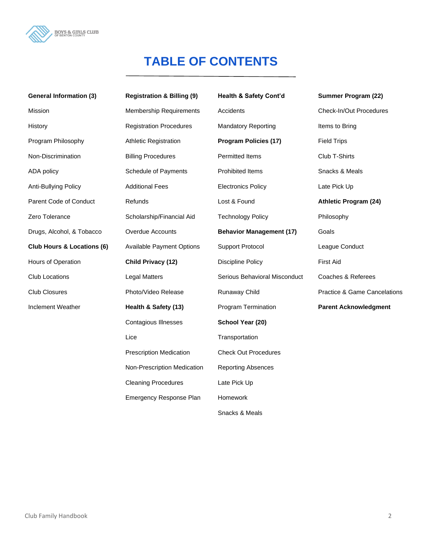

# **TABLE OF CONTENTS**

| <b>General Information (3)</b>        | <b>Registration &amp; Billing (9)</b> | Health & Safety Cont'd          | Summer Program (22)          |
|---------------------------------------|---------------------------------------|---------------------------------|------------------------------|
| Mission                               | <b>Membership Requirements</b>        | Accidents                       | Check-In/Out Procedures      |
| History                               | <b>Registration Procedures</b>        | <b>Mandatory Reporting</b>      | Items to Bring               |
| Program Philosophy                    | <b>Athletic Registration</b>          | <b>Program Policies (17)</b>    | <b>Field Trips</b>           |
| Non-Discrimination                    | <b>Billing Procedures</b>             | Permitted Items                 | Club T-Shirts                |
| ADA policy                            | Schedule of Payments                  | Prohibited Items                | Snacks & Meals               |
| Anti-Bullying Policy                  | <b>Additional Fees</b>                | <b>Electronics Policy</b>       | Late Pick Up                 |
| Parent Code of Conduct                | Refunds                               | Lost & Found                    | <b>Athletic Program (24)</b> |
| Zero Tolerance                        | Scholarship/Financial Aid             | <b>Technology Policy</b>        | Philosophy                   |
| Drugs, Alcohol, & Tobacco             | Overdue Accounts                      | <b>Behavior Management (17)</b> | Goals                        |
| <b>Club Hours &amp; Locations (6)</b> | <b>Available Payment Options</b>      | <b>Support Protocol</b>         | League Conduct               |
| Hours of Operation                    | Child Privacy (12)                    | <b>Discipline Policy</b>        | <b>First Aid</b>             |
| <b>Club Locations</b>                 | <b>Legal Matters</b>                  | Serious Behavioral Misconduct   | Coaches & Referees           |
| <b>Club Closures</b>                  | Photo/Video Release                   | Runaway Child                   | Practice & Game Cancelations |
| Inclement Weather                     | Health & Safety (13)                  | Program Termination             | <b>Parent Acknowledgment</b> |
|                                       | <b>Contagious Illnesses</b>           | School Year (20)                |                              |
|                                       | Lice                                  | Transportation                  |                              |
|                                       | <b>Prescription Medication</b>        | <b>Check Out Procedures</b>     |                              |
|                                       | Non-Prescription Medication           | <b>Reporting Absences</b>       |                              |
|                                       | <b>Cleaning Procedures</b>            | Late Pick Up                    |                              |
|                                       | Emergency Response Plan               | Homework                        |                              |
|                                       |                                       | Snacks & Meals                  |                              |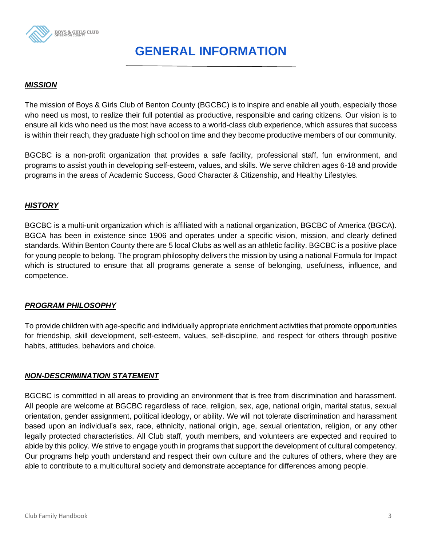

# **GENERAL INFORMATION**

#### *MISSION*

The mission of Boys & Girls Club of Benton County (BGCBC) is to inspire and enable all youth, especially those who need us most, to realize their full potential as productive, responsible and caring citizens. Our vision is to ensure all kids who need us the most have access to a world-class club experience, which assures that success is within their reach, they graduate high school on time and they become productive members of our community.

BGCBC is a non-profit organization that provides a safe facility, professional staff, fun environment, and programs to assist youth in developing self-esteem, values, and skills. We serve children ages 6-18 and provide programs in the areas of Academic Success, Good Character & Citizenship, and Healthy Lifestyles.

#### *HISTORY*

BGCBC is a multi-unit organization which is affiliated with a national organization, BGCBC of America (BGCA). BGCA has been in existence since 1906 and operates under a specific vision, mission, and clearly defined standards. Within Benton County there are 5 local Clubs as well as an athletic facility. BGCBC is a positive place for young people to belong. The program philosophy delivers the mission by using a national Formula for Impact which is structured to ensure that all programs generate a sense of belonging, usefulness, influence, and competence.

#### *PROGRAM PHILOSOPHY*

To provide children with age-specific and individually appropriate enrichment activities that promote opportunities for friendship, skill development, self-esteem, values, self-discipline, and respect for others through positive habits, attitudes, behaviors and choice.

#### *NON-DESCRIMINATION STATEMENT*

BGCBC is committed in all areas to providing an environment that is free from discrimination and harassment. All people are welcome at BGCBC regardless of race, religion, sex, age, national origin, marital status, sexual orientation, gender assignment, political ideology, or ability. We will not tolerate discrimination and harassment based upon an individual's sex, race, ethnicity, national origin, age, sexual orientation, religion, or any other legally protected characteristics. All Club staff, youth members, and volunteers are expected and required to abide by this policy. We strive to engage youth in programs that support the development of cultural competency. Our programs help youth understand and respect their own culture and the cultures of others, where they are able to contribute to a multicultural society and demonstrate acceptance for differences among people.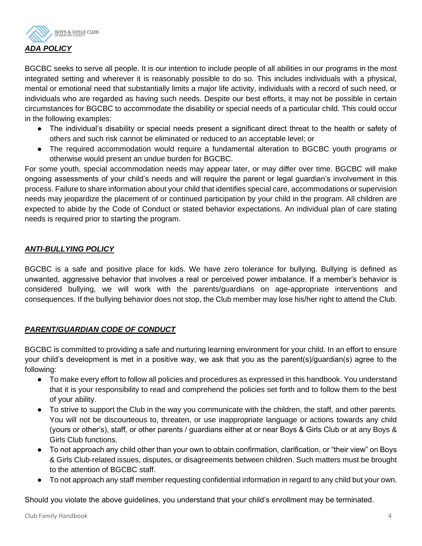

BGCBC seeks to serve all people. It is our intention to include people of all abilities in our programs in the most integrated setting and wherever it is reasonably possible to do so. This includes individuals with a physical, mental or emotional need that substantially limits a major life activity, individuals with a record of such need, or individuals who are regarded as having such needs. Despite our best efforts, it may not be possible in certain circumstances for BGCBC to accommodate the disability or special needs of a particular child. This could occur in the following examples:

- The individual's disability or special needs present a significant direct threat to the health or safety of others and such risk cannot be eliminated or reduced to an acceptable level; or
- The required accommodation would require a fundamental alteration to BGCBC youth programs or otherwise would present an undue burden for BGCBC.

For some youth, special accommodation needs may appear later, or may differ over time. BGCBC will make ongoing assessments of your child's needs and will require the parent or legal guardian's involvement in this process. Failure to share information about your child that identifies special care, accommodations or supervision needs may jeopardize the placement of or continued participation by your child in the program. All children are expected to abide by the Code of Conduct or stated behavior expectations. An individual plan of care stating needs is required prior to starting the program.

# *ANTI-BULLYING POLICY*

BGCBC is a safe and positive place for kids. We have zero tolerance for bullying. Bullying is defined as unwanted, aggressive behavior that involves a real or perceived power imbalance. If a member's behavior is considered bullying, we will work with the parents/guardians on age-appropriate interventions and consequences. If the bullying behavior does not stop, the Club member may lose his/her right to attend the Club.

# *PARENT/GUARDIAN CODE OF CONDUCT*

BGCBC is committed to providing a safe and nurturing learning environment for your child. In an effort to ensure your child's development is met in a positive way, we ask that you as the parent(s)/guardian(s) agree to the following:

- To make every effort to follow all policies and procedures as expressed in this handbook. You understand that it is your responsibility to read and comprehend the policies set forth and to follow them to the best of your ability.
- To strive to support the Club in the way you communicate with the children, the staff, and other parents. You will not be discourteous to, threaten, or use inappropriate language or actions towards any child (yours or other's), staff, or other parents / guardians either at or near Boys & Girls Club or at any Boys & Girls Club functions.
- To not approach any child other than your own to obtain confirmation, clarification, or "their view" on Boys & Girls Club-related issues, disputes, or disagreements between children. Such matters must be brought to the attention of BGCBC staff.
- To not approach any staff member requesting confidential information in regard to any child but your own.

Should you violate the above guidelines, you understand that your child's enrollment may be terminated.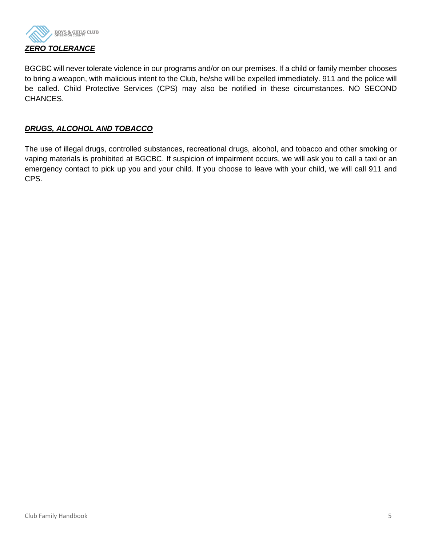

BGCBC will never tolerate violence in our programs and/or on our premises. If a child or family member chooses to bring a weapon, with malicious intent to the Club, he/she will be expelled immediately. 911 and the police will be called. Child Protective Services (CPS) may also be notified in these circumstances. NO SECOND CHANCES.

# *DRUGS, ALCOHOL AND TOBACCO*

The use of illegal drugs, controlled substances, recreational drugs, alcohol, and tobacco and other smoking or vaping materials is prohibited at BGCBC. If suspicion of impairment occurs, we will ask you to call a taxi or an emergency contact to pick up you and your child. If you choose to leave with your child, we will call 911 and CPS.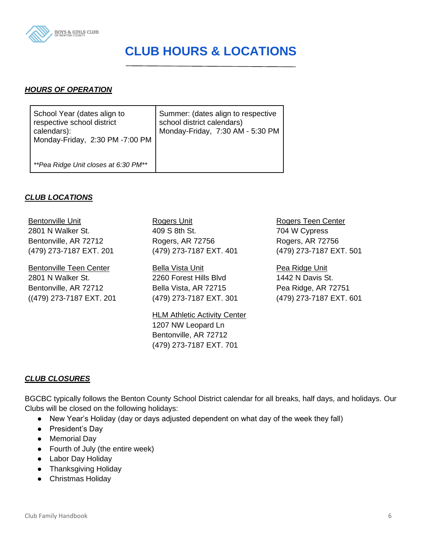

# **CLUB HOURS & LOCATIONS**

#### *HOURS OF OPERATION*

| School Year (dates align to<br>respective school district<br>calendars):<br>Monday-Friday, 2:30 PM -7:00 PM | Summer: (dates align to respective<br>school district calendars)<br>Monday-Friday, 7:30 AM - 5:30 PM |
|-------------------------------------------------------------------------------------------------------------|------------------------------------------------------------------------------------------------------|
| **Pea Ridge Unit closes at 6:30 PM**                                                                        |                                                                                                      |

#### *CLUB LOCATIONS*

Bentonville Unit 2801 N Walker St. Bentonville, AR 72712 (479) 273-7187 EXT. 201

Bentonville Teen Center 2801 N Walker St. Bentonville, AR 72712 ((479) 273-7187 EXT. 201 Rogers Unit 409 S 8th St. Rogers, AR 72756 (479) 273-7187 EXT. 401

Bella Vista Unit 2260 Forest Hills Blvd Bella Vista, AR 72715 (479) 273-7187 EXT. 301

**HLM Athletic Activity Center** 1207 NW Leopard Ln Bentonville, AR 72712 (479) 273-7187 EXT. 701

Rogers Teen Center 704 W Cypress Rogers, AR 72756 (479) 273-7187 EXT. 501

Pea Ridge Unit 1442 N Davis St. Pea Ridge, AR 72751 (479) 273-7187 EXT. 601

# *CLUB CLOSURES*

BGCBC typically follows the Benton County School District calendar for all breaks, half days, and holidays. Our Clubs will be closed on the following holidays:

- New Year's Holiday (day or days adjusted dependent on what day of the week they fall)
- President's Day
- Memorial Day
- Fourth of July (the entire week)
- Labor Day Holiday
- Thanksgiving Holiday
- Christmas Holiday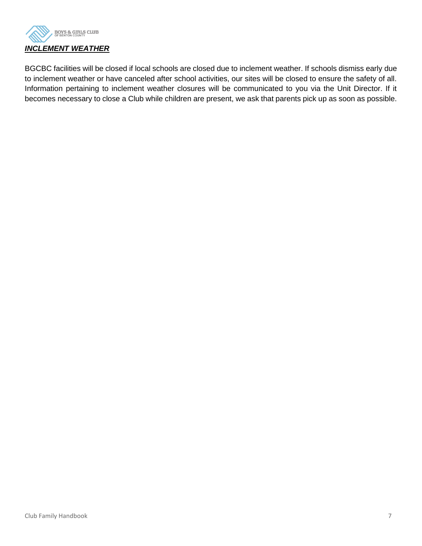

BGCBC facilities will be closed if local schools are closed due to inclement weather. If schools dismiss early due to inclement weather or have canceled after school activities, our sites will be closed to ensure the safety of all. Information pertaining to inclement weather closures will be communicated to you via the Unit Director. If it becomes necessary to close a Club while children are present, we ask that parents pick up as soon as possible.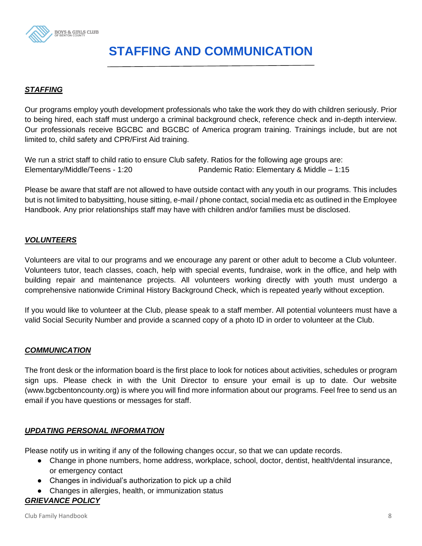

# **STAFFING AND COMMUNICATION**

# *STAFFING*

Our programs employ youth development professionals who take the work they do with children seriously. Prior to being hired, each staff must undergo a criminal background check, reference check and in-depth interview. Our professionals receive BGCBC and BGCBC of America program training. Trainings include, but are not limited to, child safety and CPR/First Aid training.

We run a strict staff to child ratio to ensure Club safety. Ratios for the following age groups are: Elementary/Middle/Teens - 1:20 Pandemic Ratio: Elementary & Middle – 1:15

Please be aware that staff are not allowed to have outside contact with any youth in our programs. This includes but is not limited to babysitting, house sitting, e-mail / phone contact, social media etc as outlined in the Employee Handbook. Any prior relationships staff may have with children and/or families must be disclosed.

#### *VOLUNTEERS*

Volunteers are vital to our programs and we encourage any parent or other adult to become a Club volunteer. Volunteers tutor, teach classes, coach, help with special events, fundraise, work in the office, and help with building repair and maintenance projects. All volunteers working directly with youth must undergo a comprehensive nationwide Criminal History Background Check, which is repeated yearly without exception.

If you would like to volunteer at the Club, please speak to a staff member. All potential volunteers must have a valid Social Security Number and provide a scanned copy of a photo ID in order to volunteer at the Club.

#### *COMMUNICATION*

The front desk or the information board is the first place to look for notices about activities, schedules or program sign ups. Please check in with the Unit Director to ensure your email is up to date. Our website (www.bgcbentoncounty.org) is where you will find more information about our programs. Feel free to send us an email if you have questions or messages for staff.

#### *UPDATING PERSONAL INFORMATION*

Please notify us in writing if any of the following changes occur, so that we can update records.

- Change in phone numbers, home address, workplace, school, doctor, dentist, health/dental insurance, or emergency contact
- Changes in individual's authorization to pick up a child
- Changes in allergies, health, or immunization status

# *GRIEVANCE POLICY*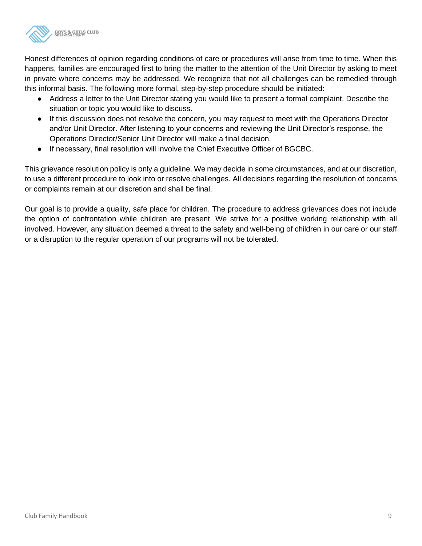

Honest differences of opinion regarding conditions of care or procedures will arise from time to time. When this happens, families are encouraged first to bring the matter to the attention of the Unit Director by asking to meet in private where concerns may be addressed. We recognize that not all challenges can be remedied through this informal basis. The following more formal, step-by-step procedure should be initiated:

- Address a letter to the Unit Director stating you would like to present a formal complaint. Describe the situation or topic you would like to discuss.
- If this discussion does not resolve the concern, you may request to meet with the Operations Director and/or Unit Director. After listening to your concerns and reviewing the Unit Director's response, the Operations Director/Senior Unit Director will make a final decision.
- If necessary, final resolution will involve the Chief Executive Officer of BGCBC.

This grievance resolution policy is only a guideline. We may decide in some circumstances, and at our discretion, to use a different procedure to look into or resolve challenges. All decisions regarding the resolution of concerns or complaints remain at our discretion and shall be final.

Our goal is to provide a quality, safe place for children. The procedure to address grievances does not include the option of confrontation while children are present. We strive for a positive working relationship with all involved. However, any situation deemed a threat to the safety and well-being of children in our care or our staff or a disruption to the regular operation of our programs will not be tolerated.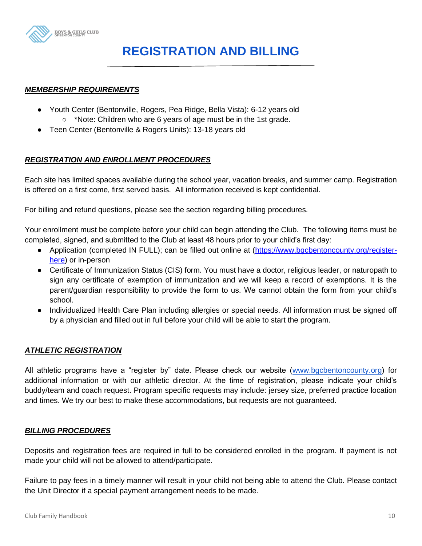

# **REGISTRATION AND BILLING**

#### *MEMBERSHIP REQUIREMENTS*

- Youth Center (Bentonville, Rogers, Pea Ridge, Bella Vista): 6-12 years old
	- \*Note: Children who are 6 years of age must be in the 1st grade.
- Teen Center (Bentonville & Rogers Units): 13-18 years old

#### *REGISTRATION AND ENROLLMENT PROCEDURES*

Each site has limited spaces available during the school year, vacation breaks, and summer camp. Registration is offered on a first come, first served basis. All information received is kept confidential.

For billing and refund questions, please see the section regarding billing procedures.

Your enrollment must be complete before your child can begin attending the Club. The following items must be completed, signed, and submitted to the Club at least 48 hours prior to your child's first day:

- Application (completed IN FULL); can be filled out online at [\(https://www.bgcbentoncounty.org/register](https://www.bgcbentoncounty.org/register-here)[here\)](https://www.bgcbentoncounty.org/register-here) or in-person
- Certificate of Immunization Status (CIS) form. You must have a doctor, religious leader, or naturopath to sign any certificate of exemption of immunization and we will keep a record of exemptions. It is the parent/guardian responsibility to provide the form to us. We cannot obtain the form from your child's school.
- Individualized Health Care Plan including allergies or special needs. All information must be signed off by a physician and filled out in full before your child will be able to start the program.

#### *ATHLETIC REGISTRATION*

All athletic programs have a "register by" date. Please check our website [\(www.bgcbentoncounty.org\)](http://www.bgcbentoncounty.org/) for additional information or with our athletic director. At the time of registration, please indicate your child's buddy/team and coach request. Program specific requests may include: jersey size, preferred practice location and times. We try our best to make these accommodations, but requests are not guaranteed.

#### *BILLING PROCEDURES*

Deposits and registration fees are required in full to be considered enrolled in the program. If payment is not made your child will not be allowed to attend/participate.

Failure to pay fees in a timely manner will result in your child not being able to attend the Club. Please contact the Unit Director if a special payment arrangement needs to be made.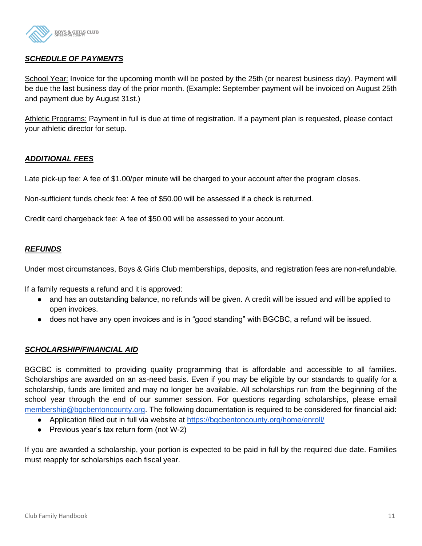

# *SCHEDULE OF PAYMENTS*

School Year: Invoice for the upcoming month will be posted by the 25th (or nearest business day). Payment will be due the last business day of the prior month. (Example: September payment will be invoiced on August 25th and payment due by August 31st.)

Athletic Programs: Payment in full is due at time of registration. If a payment plan is requested, please contact your athletic director for setup.

# *ADDITIONAL FEES*

Late pick-up fee: A fee of \$1.00/per minute will be charged to your account after the program closes.

Non-sufficient funds check fee: A fee of \$50.00 will be assessed if a check is returned.

Credit card chargeback fee: A fee of \$50.00 will be assessed to your account.

#### *REFUNDS*

Under most circumstances, Boys & Girls Club memberships, deposits, and registration fees are non-refundable.

If a family requests a refund and it is approved:

- and has an outstanding balance, no refunds will be given. A credit will be issued and will be applied to open invoices.
- does not have any open invoices and is in "good standing" with BGCBC, a refund will be issued.

#### *SCHOLARSHIP/FINANCIAL AID*

BGCBC is committed to providing quality programming that is affordable and accessible to all families. Scholarships are awarded on an as-need basis. Even if you may be eligible by our standards to qualify for a scholarship, funds are limited and may no longer be available. All scholarships run from the beginning of the school year through the end of our summer session. For questions regarding scholarships, please email [membership@bgcbentoncounty.org.](mailto:membership@bgcbentoncounty.org) The following documentation is required to be considered for financial aid:

- Application filled out in full via website at<https://bgcbentoncounty.org/home/enroll/>
- Previous year's tax return form (not W-2)

If you are awarded a scholarship, your portion is expected to be paid in full by the required due date. Families must reapply for scholarships each fiscal year.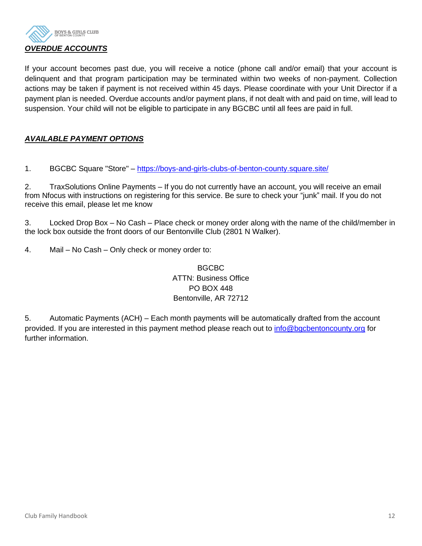

If your account becomes past due, you will receive a notice (phone call and/or email) that your account is delinquent and that program participation may be terminated within two weeks of non-payment. Collection actions may be taken if payment is not received within 45 days. Please coordinate with your Unit Director if a payment plan is needed. Overdue accounts and/or payment plans, if not dealt with and paid on time, will lead to suspension. Your child will not be eligible to participate in any BGCBC until all fees are paid in full.

# *AVAILABLE PAYMENT OPTIONS*

1. BGCBC Square "Store" – <https://boys-and-girls-clubs-of-benton-county.square.site/>

2. TraxSolutions Online Payments – If you do not currently have an account, you will receive an email from Nfocus with instructions on registering for this service. Be sure to check your "junk" mail. If you do not receive this email, please let me know

3. Locked Drop Box – No Cash – Place check or money order along with the name of the child/member in the lock box outside the front doors of our Bentonville Club (2801 N Walker).

4. Mail – No Cash – Only check or money order to:

# BGCBC ATTN: Business Office PO BOX 448 Bentonville, AR 72712

5. Automatic Payments (ACH) – Each month payments will be automatically drafted from the account provided. If you are interested in this payment method please reach out to [info@bgcbentoncounty.org](mailto:info@bgcbentoncounty.org) for further information.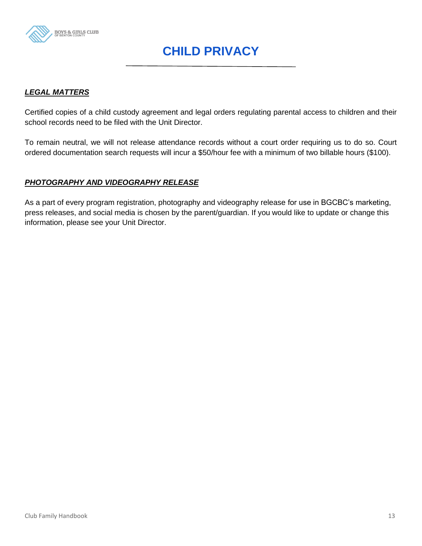

# **CHILD PRIVACY**

#### *LEGAL MATTERS*

Certified copies of a child custody agreement and legal orders regulating parental access to children and their school records need to be filed with the Unit Director.

To remain neutral, we will not release attendance records without a court order requiring us to do so. Court ordered documentation search requests will incur a \$50/hour fee with a minimum of two billable hours (\$100).

#### *PHOTOGRAPHY AND VIDEOGRAPHY RELEASE*

As a part of every program registration, photography and videography release for use in BGCBC's marketing, press releases, and social media is chosen by the parent/guardian. If you would like to update or change this information, please see your Unit Director.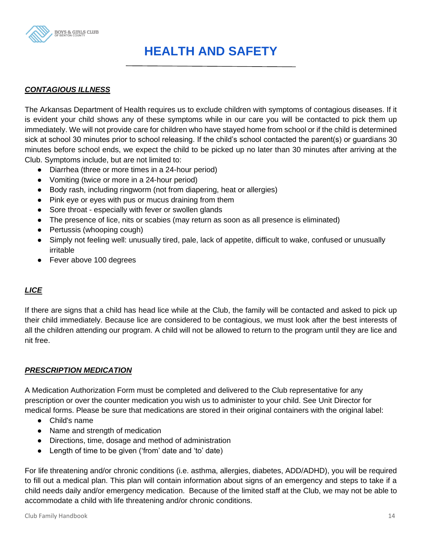

# **HEALTH AND SAFETY**

# *CONTAGIOUS ILLNESS*

The Arkansas Department of Health requires us to exclude children with symptoms of contagious diseases. If it is evident your child shows any of these symptoms while in our care you will be contacted to pick them up immediately. We will not provide care for children who have stayed home from school or if the child is determined sick at school 30 minutes prior to school releasing. If the child's school contacted the parent(s) or guardians 30 minutes before school ends, we expect the child to be picked up no later than 30 minutes after arriving at the Club. Symptoms include, but are not limited to:

- Diarrhea (three or more times in a 24-hour period)
- Vomiting (twice or more in a 24-hour period)
- Body rash, including ringworm (not from diapering, heat or allergies)
- Pink eye or eyes with pus or mucus draining from them
- Sore throat especially with fever or swollen glands
- The presence of lice, nits or scabies (may return as soon as all presence is eliminated)
- Pertussis (whooping cough)
- Simply not feeling well: unusually tired, pale, lack of appetite, difficult to wake, confused or unusually irritable
- Fever above 100 degrees

# *LICE*

If there are signs that a child has head lice while at the Club, the family will be contacted and asked to pick up their child immediately. Because lice are considered to be contagious, we must look after the best interests of all the children attending our program. A child will not be allowed to return to the program until they are lice and nit free.

#### *PRESCRIPTION MEDICATION*

A Medication Authorization Form must be completed and delivered to the Club representative for any prescription or over the counter medication you wish us to administer to your child. See Unit Director for medical forms. Please be sure that medications are stored in their original containers with the original label:

- Child's name
- Name and strength of medication
- Directions, time, dosage and method of administration
- Length of time to be given ('from' date and 'to' date)

For life threatening and/or chronic conditions (i.e. asthma, allergies, diabetes, ADD/ADHD), you will be required to fill out a medical plan. This plan will contain information about signs of an emergency and steps to take if a child needs daily and/or emergency medication. Because of the limited staff at the Club, we may not be able to accommodate a child with life threatening and/or chronic conditions.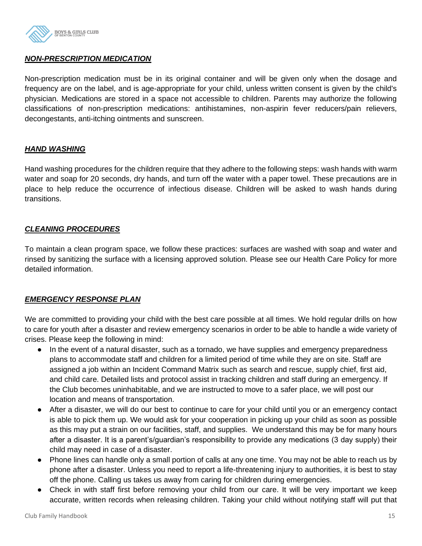

### *NON-PRESCRIPTION MEDICATION*

Non-prescription medication must be in its original container and will be given only when the dosage and frequency are on the label, and is age-appropriate for your child, unless written consent is given by the child's physician. Medications are stored in a space not accessible to children. Parents may authorize the following classifications of non-prescription medications: antihistamines, non-aspirin fever reducers/pain relievers, decongestants, anti-itching ointments and sunscreen.

#### *HAND WASHING*

Hand washing procedures for the children require that they adhere to the following steps: wash hands with warm water and soap for 20 seconds, dry hands, and turn off the water with a paper towel. These precautions are in place to help reduce the occurrence of infectious disease. Children will be asked to wash hands during transitions.

#### *CLEANING PROCEDURES*

To maintain a clean program space, we follow these practices: surfaces are washed with soap and water and rinsed by sanitizing the surface with a licensing approved solution. Please see our Health Care Policy for more detailed information.

#### *EMERGENCY RESPONSE PLAN*

We are committed to providing your child with the best care possible at all times. We hold regular drills on how to care for youth after a disaster and review emergency scenarios in order to be able to handle a wide variety of crises. Please keep the following in mind:

- In the event of a natural disaster, such as a tornado, we have supplies and emergency preparedness plans to accommodate staff and children for a limited period of time while they are on site. Staff are assigned a job within an Incident Command Matrix such as search and rescue, supply chief, first aid, and child care. Detailed lists and protocol assist in tracking children and staff during an emergency. If the Club becomes uninhabitable, and we are instructed to move to a safer place, we will post our location and means of transportation.
- After a disaster, we will do our best to continue to care for your child until you or an emergency contact is able to pick them up. We would ask for your cooperation in picking up your child as soon as possible as this may put a strain on our facilities, staff, and supplies. We understand this may be for many hours after a disaster. It is a parent's/guardian's responsibility to provide any medications (3 day supply) their child may need in case of a disaster.
- Phone lines can handle only a small portion of calls at any one time. You may not be able to reach us by phone after a disaster. Unless you need to report a life-threatening injury to authorities, it is best to stay off the phone. Calling us takes us away from caring for children during emergencies.
- Check in with staff first before removing your child from our care. It will be very important we keep accurate, written records when releasing children. Taking your child without notifying staff will put that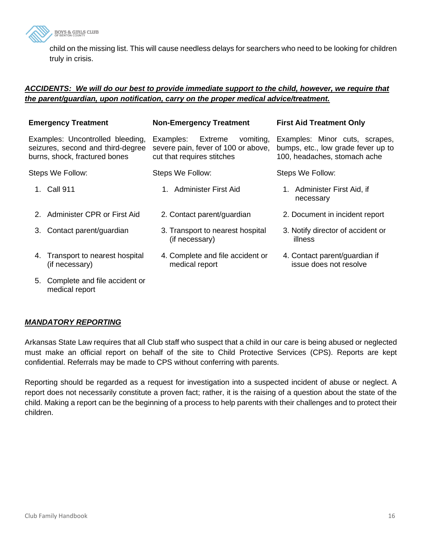

child on the missing list. This will cause needless delays for searchers who need to be looking for children truly in crisis.

#### *ACCIDENTS: We will do our best to provide immediate support to the child, however, we require that the parent/guardian, upon notification, carry on the proper medical advice/treatment.*

|    | <b>Emergency Treatment</b>                                                                             | <b>Non-Emergency Treatment</b>                                                                         | <b>First Aid Treatment Only</b>                                                                      |
|----|--------------------------------------------------------------------------------------------------------|--------------------------------------------------------------------------------------------------------|------------------------------------------------------------------------------------------------------|
|    | Examples: Uncontrolled bleeding,<br>seizures, second and third-degree<br>burns, shock, fractured bones | Examples:<br>Extreme<br>vomiting,<br>severe pain, fever of 100 or above,<br>cut that requires stitches | Examples: Minor cuts, scrapes,<br>bumps, etc., low grade fever up to<br>100, headaches, stomach ache |
|    | Steps We Follow:                                                                                       | Steps We Follow:                                                                                       | Steps We Follow:                                                                                     |
|    | 1. Call 911                                                                                            | 1. Administer First Aid                                                                                | 1. Administer First Aid, if<br>necessary                                                             |
|    | 2. Administer CPR or First Aid                                                                         | 2. Contact parent/guardian                                                                             | 2. Document in incident report                                                                       |
|    | 3. Contact parent/guardian                                                                             | 3. Transport to nearest hospital<br>(if necessary)                                                     | 3. Notify director of accident or<br>illness                                                         |
|    | 4. Transport to nearest hospital<br>(if necessary)                                                     | 4. Complete and file accident or<br>medical report                                                     | 4. Contact parent/guardian if<br>issue does not resolve                                              |
| 5. | Complete and file accident or<br>medical report                                                        |                                                                                                        |                                                                                                      |

# *MANDATORY REPORTING*

Arkansas State Law requires that all Club staff who suspect that a child in our care is being abused or neglected must make an official report on behalf of the site to Child Protective Services (CPS). Reports are kept confidential. Referrals may be made to CPS without conferring with parents.

Reporting should be regarded as a request for investigation into a suspected incident of abuse or neglect. A report does not necessarily constitute a proven fact; rather, it is the raising of a question about the state of the child. Making a report can be the beginning of a process to help parents with their challenges and to protect their children.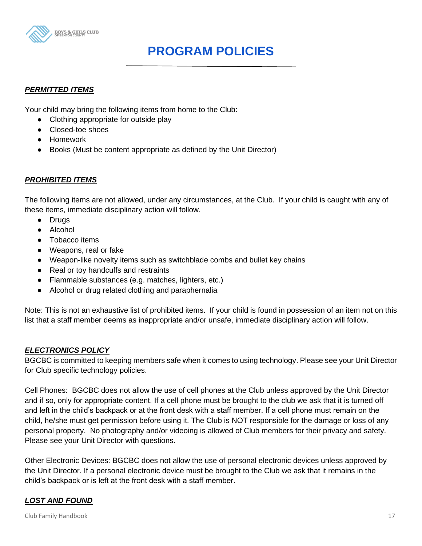

# **PROGRAM POLICIES**

# *PERMITTED ITEMS*

Your child may bring the following items from home to the Club:

- Clothing appropriate for outside play
- Closed-toe shoes
- Homework
- Books (Must be content appropriate as defined by the Unit Director)

#### *PROHIBITED ITEMS*

The following items are not allowed, under any circumstances, at the Club. If your child is caught with any of these items, immediate disciplinary action will follow.

- Drugs
- Alcohol
- Tobacco items
- Weapons, real or fake
- Weapon-like novelty items such as switchblade combs and bullet key chains
- Real or toy handcuffs and restraints
- Flammable substances (e.g. matches, lighters, etc.)
- Alcohol or drug related clothing and paraphernalia

Note: This is not an exhaustive list of prohibited items. If your child is found in possession of an item not on this list that a staff member deems as inappropriate and/or unsafe, immediate disciplinary action will follow.

#### *ELECTRONICS POLICY*

BGCBC is committed to keeping members safe when it comes to using technology. Please see your Unit Director for Club specific technology policies.

Cell Phones: BGCBC does not allow the use of cell phones at the Club unless approved by the Unit Director and if so, only for appropriate content. If a cell phone must be brought to the club we ask that it is turned off and left in the child's backpack or at the front desk with a staff member. If a cell phone must remain on the child, he/she must get permission before using it. The Club is NOT responsible for the damage or loss of any personal property. No photography and/or videoing is allowed of Club members for their privacy and safety. Please see your Unit Director with questions.

Other Electronic Devices: BGCBC does not allow the use of personal electronic devices unless approved by the Unit Director. If a personal electronic device must be brought to the Club we ask that it remains in the child's backpack or is left at the front desk with a staff member.

# *LOST AND FOUND*

Club Family Handbook 17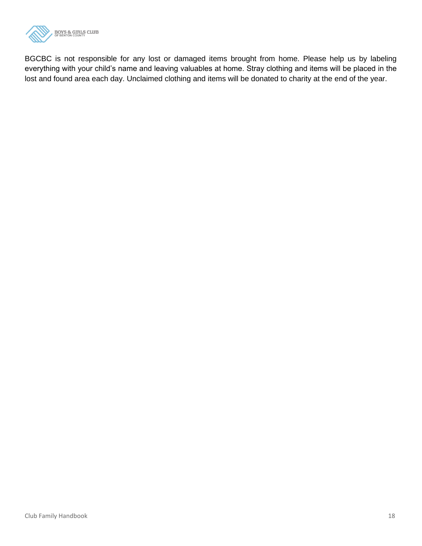

BGCBC is not responsible for any lost or damaged items brought from home. Please help us by labeling everything with your child's name and leaving valuables at home. Stray clothing and items will be placed in the lost and found area each day. Unclaimed clothing and items will be donated to charity at the end of the year.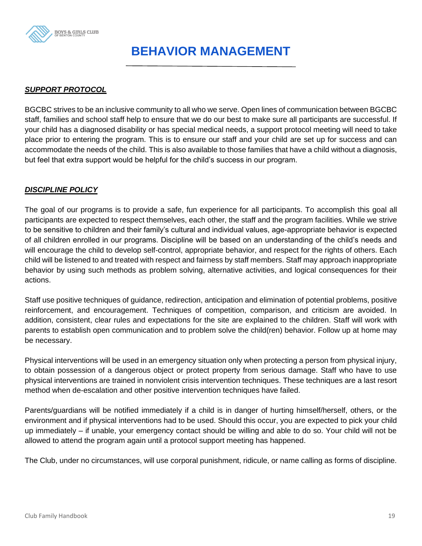

# **BEHAVIOR MANAGEMENT**

# *SUPPORT PROTOCOL*

BGCBC strives to be an inclusive community to all who we serve. Open lines of communication between BGCBC staff, families and school staff help to ensure that we do our best to make sure all participants are successful. If your child has a diagnosed disability or has special medical needs, a support protocol meeting will need to take place prior to entering the program. This is to ensure our staff and your child are set up for success and can accommodate the needs of the child. This is also available to those families that have a child without a diagnosis, but feel that extra support would be helpful for the child's success in our program.

# *DISCIPLINE POLICY*

The goal of our programs is to provide a safe, fun experience for all participants. To accomplish this goal all participants are expected to respect themselves, each other, the staff and the program facilities. While we strive to be sensitive to children and their family's cultural and individual values, age-appropriate behavior is expected of all children enrolled in our programs. Discipline will be based on an understanding of the child's needs and will encourage the child to develop self-control, appropriate behavior, and respect for the rights of others. Each child will be listened to and treated with respect and fairness by staff members. Staff may approach inappropriate behavior by using such methods as problem solving, alternative activities, and logical consequences for their actions.

Staff use positive techniques of guidance, redirection, anticipation and elimination of potential problems, positive reinforcement, and encouragement. Techniques of competition, comparison, and criticism are avoided. In addition, consistent, clear rules and expectations for the site are explained to the children. Staff will work with parents to establish open communication and to problem solve the child(ren) behavior. Follow up at home may be necessary.

Physical interventions will be used in an emergency situation only when protecting a person from physical injury, to obtain possession of a dangerous object or protect property from serious damage. Staff who have to use physical interventions are trained in nonviolent crisis intervention techniques. These techniques are a last resort method when de-escalation and other positive intervention techniques have failed.

Parents/guardians will be notified immediately if a child is in danger of hurting himself/herself, others, or the environment and if physical interventions had to be used. Should this occur, you are expected to pick your child up immediately – if unable, your emergency contact should be willing and able to do so. Your child will not be allowed to attend the program again until a protocol support meeting has happened.

The Club, under no circumstances, will use corporal punishment, ridicule, or name calling as forms of discipline.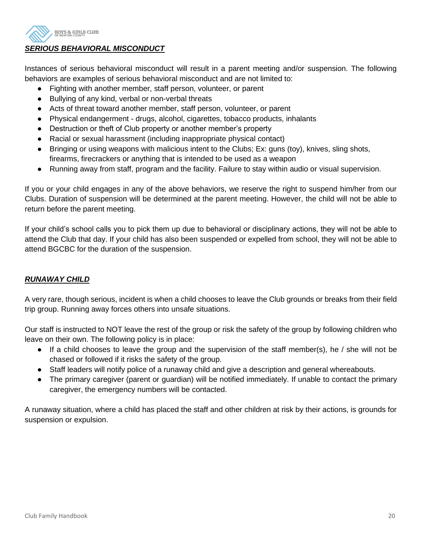

# *SERIOUS BEHAVIORAL MISCONDUCT*

Instances of serious behavioral misconduct will result in a parent meeting and/or suspension. The following behaviors are examples of serious behavioral misconduct and are not limited to:

- Fighting with another member, staff person, volunteer, or parent
- Bullying of any kind, verbal or non-verbal threats
- Acts of threat toward another member, staff person, volunteer, or parent
- Physical endangerment drugs, alcohol, cigarettes, tobacco products, inhalants
- Destruction or theft of Club property or another member's property
- Racial or sexual harassment (including inappropriate physical contact)
- Bringing or using weapons with malicious intent to the Clubs; Ex: guns (toy), knives, sling shots, firearms, firecrackers or anything that is intended to be used as a weapon
- Running away from staff, program and the facility. Failure to stay within audio or visual supervision.

If you or your child engages in any of the above behaviors, we reserve the right to suspend him/her from our Clubs. Duration of suspension will be determined at the parent meeting. However, the child will not be able to return before the parent meeting.

If your child's school calls you to pick them up due to behavioral or disciplinary actions, they will not be able to attend the Club that day. If your child has also been suspended or expelled from school, they will not be able to attend BGCBC for the duration of the suspension.

# *RUNAWAY CHILD*

A very rare, though serious, incident is when a child chooses to leave the Club grounds or breaks from their field trip group. Running away forces others into unsafe situations.

Our staff is instructed to NOT leave the rest of the group or risk the safety of the group by following children who leave on their own. The following policy is in place:

- If a child chooses to leave the group and the supervision of the staff member(s), he / she will not be chased or followed if it risks the safety of the group.
- Staff leaders will notify police of a runaway child and give a description and general whereabouts.
- The primary caregiver (parent or guardian) will be notified immediately. If unable to contact the primary caregiver, the emergency numbers will be contacted.

A runaway situation, where a child has placed the staff and other children at risk by their actions, is grounds for suspension or expulsion.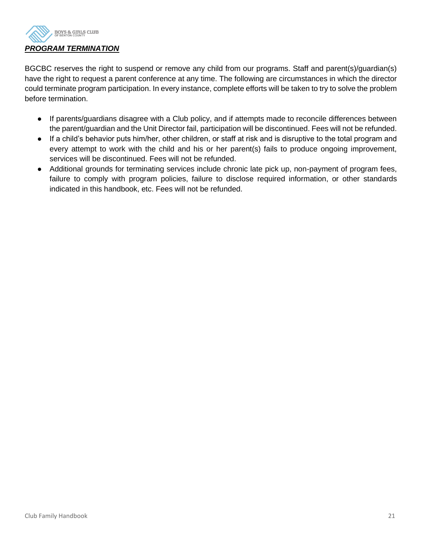

BGCBC reserves the right to suspend or remove any child from our programs. Staff and parent(s)/guardian(s) have the right to request a parent conference at any time. The following are circumstances in which the director could terminate program participation. In every instance, complete efforts will be taken to try to solve the problem before termination.

- If parents/guardians disagree with a Club policy, and if attempts made to reconcile differences between the parent/guardian and the Unit Director fail, participation will be discontinued. Fees will not be refunded.
- If a child's behavior puts him/her, other children, or staff at risk and is disruptive to the total program and every attempt to work with the child and his or her parent(s) fails to produce ongoing improvement, services will be discontinued. Fees will not be refunded.
- Additional grounds for terminating services include chronic late pick up, non-payment of program fees, failure to comply with program policies, failure to disclose required information, or other standards indicated in this handbook, etc. Fees will not be refunded.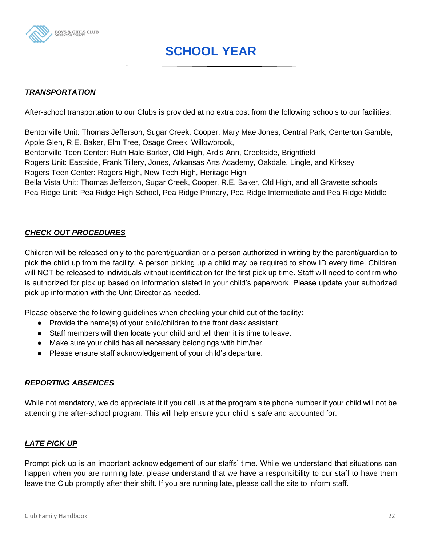

# **SCHOOL YEAR**

# *TRANSPORTATION*

After-school transportation to our Clubs is provided at no extra cost from the following schools to our facilities:

Bentonville Unit: Thomas Jefferson, Sugar Creek. Cooper, Mary Mae Jones, Central Park, Centerton Gamble, Apple Glen, R.E. Baker, Elm Tree, Osage Creek, Willowbrook,

Bentonville Teen Center: Ruth Hale Barker, Old High, Ardis Ann, Creekside, Brightfield

Rogers Unit: Eastside, Frank Tillery, Jones, Arkansas Arts Academy, Oakdale, Lingle, and Kirksey

Rogers Teen Center: Rogers High, New Tech High, Heritage High

Bella Vista Unit: Thomas Jefferson, Sugar Creek, Cooper, R.E. Baker, Old High, and all Gravette schools Pea Ridge Unit: Pea Ridge High School, Pea Ridge Primary, Pea Ridge Intermediate and Pea Ridge Middle

# *CHECK OUT PROCEDURES*

Children will be released only to the parent/guardian or a person authorized in writing by the parent/guardian to pick the child up from the facility. A person picking up a child may be required to show ID every time. Children will NOT be released to individuals without identification for the first pick up time. Staff will need to confirm who is authorized for pick up based on information stated in your child's paperwork. Please update your authorized pick up information with the Unit Director as needed.

Please observe the following guidelines when checking your child out of the facility:

- Provide the name(s) of your child/children to the front desk assistant.
- Staff members will then locate your child and tell them it is time to leave.
- Make sure your child has all necessary belongings with him/her.
- Please ensure staff acknowledgement of your child's departure.

# *REPORTING ABSENCES*

While not mandatory, we do appreciate it if you call us at the program site phone number if your child will not be attending the after-school program. This will help ensure your child is safe and accounted for.

# *LATE PICK UP*

Prompt pick up is an important acknowledgement of our staffs' time. While we understand that situations can happen when you are running late, please understand that we have a responsibility to our staff to have them leave the Club promptly after their shift. If you are running late, please call the site to inform staff.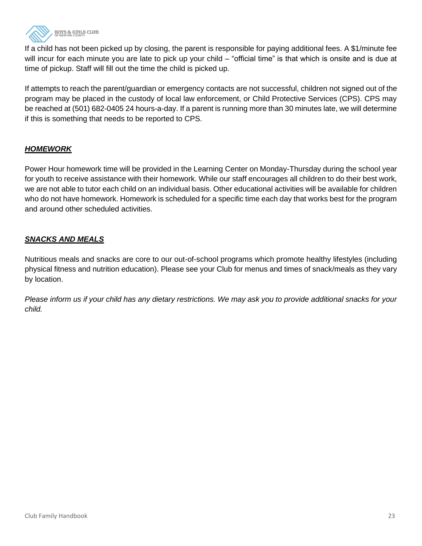

If a child has not been picked up by closing, the parent is responsible for paying additional fees. A \$1/minute fee will incur for each minute you are late to pick up your child – "official time" is that which is onsite and is due at time of pickup. Staff will fill out the time the child is picked up.

If attempts to reach the parent/guardian or emergency contacts are not successful, children not signed out of the program may be placed in the custody of local law enforcement, or Child Protective Services (CPS). CPS may be reached at (501) 682-0405 24 hours-a-day. If a parent is running more than 30 minutes late, we will determine if this is something that needs to be reported to CPS.

# *HOMEWORK*

Power Hour homework time will be provided in the Learning Center on Monday-Thursday during the school year for youth to receive assistance with their homework. While our staff encourages all children to do their best work, we are not able to tutor each child on an individual basis. Other educational activities will be available for children who do not have homework. Homework is scheduled for a specific time each day that works best for the program and around other scheduled activities.

# *SNACKS AND MEALS*

Nutritious meals and snacks are core to our out-of-school programs which promote healthy lifestyles (including physical fitness and nutrition education). Please see your Club for menus and times of snack/meals as they vary by location.

*Please inform us if your child has any dietary restrictions. We may ask you to provide additional snacks for your child.*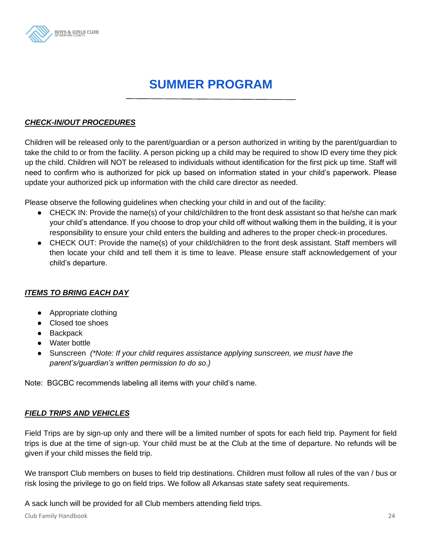

# **SUMMER PROGRAM**

### *CHECK-IN/OUT PROCEDURES*

Children will be released only to the parent/guardian or a person authorized in writing by the parent/guardian to take the child to or from the facility. A person picking up a child may be required to show ID every time they pick up the child. Children will NOT be released to individuals without identification for the first pick up time. Staff will need to confirm who is authorized for pick up based on information stated in your child's paperwork. Please update your authorized pick up information with the child care director as needed.

Please observe the following guidelines when checking your child in and out of the facility:

- CHECK IN: Provide the name(s) of your child/children to the front desk assistant so that he/she can mark your child's attendance. If you choose to drop your child off without walking them in the building, it is your responsibility to ensure your child enters the building and adheres to the proper check-in procedures.
- CHECK OUT: Provide the name(s) of your child/children to the front desk assistant. Staff members will then locate your child and tell them it is time to leave. Please ensure staff acknowledgement of your child's departure.

# *ITEMS TO BRING EACH DAY*

- Appropriate clothing
- Closed toe shoes
- Backpack
- Water bottle
- Sunscreen *(\*Note: If your child requires assistance applying sunscreen, we must have the parent's/guardian's written permission to do so.)*

Note: BGCBC recommends labeling all items with your child's name.

# *FIELD TRIPS AND VEHICLES*

Field Trips are by sign-up only and there will be a limited number of spots for each field trip. Payment for field trips is due at the time of sign-up. Your child must be at the Club at the time of departure. No refunds will be given if your child misses the field trip.

We transport Club members on buses to field trip destinations. Children must follow all rules of the van / bus or risk losing the privilege to go on field trips. We follow all Arkansas state safety seat requirements.

A sack lunch will be provided for all Club members attending field trips.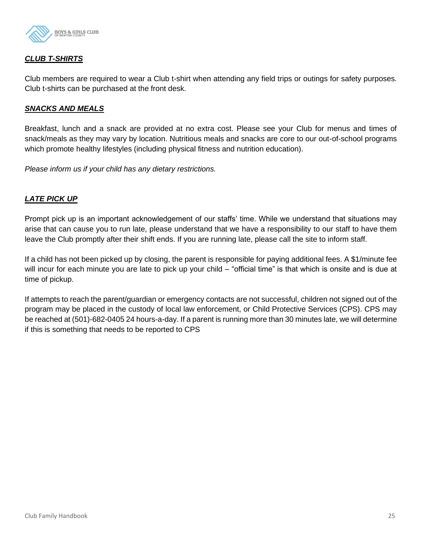

# *CLUB T-SHIRTS*

Club members are required to wear a Club t-shirt when attending any field trips or outings for safety purposes. Club t-shirts can be purchased at the front desk.

#### *SNACKS AND MEALS*

Breakfast, lunch and a snack are provided at no extra cost. Please see your Club for menus and times of snack/meals as they may vary by location. Nutritious meals and snacks are core to our out-of-school programs which promote healthy lifestyles (including physical fitness and nutrition education).

*Please inform us if your child has any dietary restrictions.* 

#### *LATE PICK UP*

Prompt pick up is an important acknowledgement of our staffs' time. While we understand that situations may arise that can cause you to run late, please understand that we have a responsibility to our staff to have them leave the Club promptly after their shift ends. If you are running late, please call the site to inform staff.

If a child has not been picked up by closing, the parent is responsible for paying additional fees. A \$1/minute fee will incur for each minute you are late to pick up your child – "official time" is that which is onsite and is due at time of pickup.

If attempts to reach the parent/guardian or emergency contacts are not successful, children not signed out of the program may be placed in the custody of local law enforcement, or Child Protective Services (CPS). CPS may be reached at (501)-682-0405 24 hours-a-day. If a parent is running more than 30 minutes late, we will determine if this is something that needs to be reported to CPS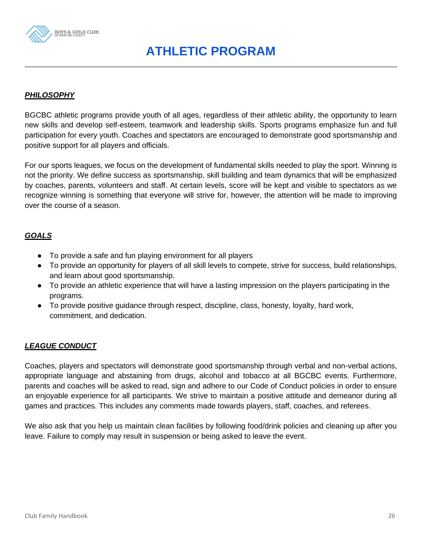

# **ATHLETIC PROGRAM**

# *PHILOSOPHY*

BGCBC athletic programs provide youth of all ages, regardless of their athletic ability, the opportunity to learn new skills and develop self-esteem, teamwork and leadership skills. Sports programs emphasize fun and full participation for every youth. Coaches and spectators are encouraged to demonstrate good sportsmanship and positive support for all players and officials.

For our sports leagues, we focus on the development of fundamental skills needed to play the sport. Winning is not the priority. We define success as sportsmanship, skill building and team dynamics that will be emphasized by coaches, parents, volunteers and staff. At certain levels, score will be kept and visible to spectators as we recognize winning is something that everyone will strive for, however, the attention will be made to improving over the course of a season.

#### *GOALS*

- To provide a safe and fun playing environment for all players
- To provide an opportunity for players of all skill levels to compete, strive for success, build relationships, and learn about good sportsmanship.
- To provide an athletic experience that will have a lasting impression on the players participating in the programs.
- To provide positive guidance through respect, discipline, class, honesty, loyalty, hard work, commitment, and dedication.

# *LEAGUE CONDUCT*

Coaches, players and spectators will demonstrate good sportsmanship through verbal and non-verbal actions, appropriate language and abstaining from drugs, alcohol and tobacco at all BGCBC events. Furthermore, parents and coaches will be asked to read, sign and adhere to our Code of Conduct policies in order to ensure an enjoyable experience for all participants. We strive to maintain a positive attitude and demeanor during all games and practices. This includes any comments made towards players, staff, coaches, and referees.

We also ask that you help us maintain clean facilities by following food/drink policies and cleaning up after you leave. Failure to comply may result in suspension or being asked to leave the event.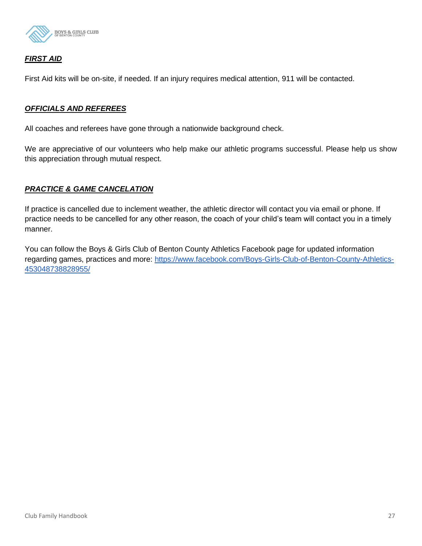

# *FIRST AID*

First Aid kits will be on-site, if needed. If an injury requires medical attention, 911 will be contacted.

#### *OFFICIALS AND REFEREES*

All coaches and referees have gone through a nationwide background check.

We are appreciative of our volunteers who help make our athletic programs successful. Please help us show this appreciation through mutual respect.

#### *PRACTICE & GAME CANCELATION*

If practice is cancelled due to inclement weather, the athletic director will contact you via email or phone. If practice needs to be cancelled for any other reason, the coach of your child's team will contact you in a timely manner.

You can follow the Boys & Girls Club of Benton County Athletics Facebook page for updated information regarding games, practices and more: [https://www.facebook.com/Boys-Girls-Club-of-Benton-County-Athletics-](https://www.facebook.com/Boys-Girls-Club-of-Benton-County-Athletics-453048738828955/)[453048738828955/](https://www.facebook.com/Boys-Girls-Club-of-Benton-County-Athletics-453048738828955/)